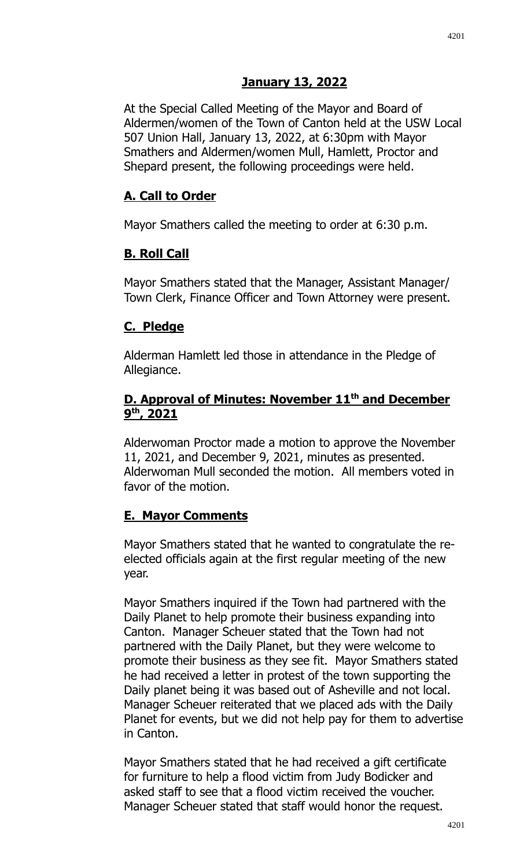## **January 13, 2022**

At the Special Called Meeting of the Mayor and Board of Aldermen/women of the Town of Canton held at the USW Local 507 Union Hall, January 13, 2022, at 6:30pm with Mayor Smathers and Aldermen/women Mull, Hamlett, Proctor and Shepard present, the following proceedings were held.

### **A. Call to Order**

Mayor Smathers called the meeting to order at 6:30 p.m.

### **B. Roll Call**

Mayor Smathers stated that the Manager, Assistant Manager/ Town Clerk, Finance Officer and Town Attorney were present.

#### **C. Pledge**

Alderman Hamlett led those in attendance in the Pledge of Allegiance.

### **D. Approval of Minutes: November 11th and December 9 th, 2021**

Alderwoman Proctor made a motion to approve the November 11, 2021, and December 9, 2021, minutes as presented. Alderwoman Mull seconded the motion. All members voted in favor of the motion.

### **E. Mayor Comments**

Mayor Smathers stated that he wanted to congratulate the reelected officials again at the first regular meeting of the new year.

Mayor Smathers inquired if the Town had partnered with the Daily Planet to help promote their business expanding into Canton. Manager Scheuer stated that the Town had not partnered with the Daily Planet, but they were welcome to promote their business as they see fit. Mayor Smathers stated he had received a letter in protest of the town supporting the Daily planet being it was based out of Asheville and not local. Manager Scheuer reiterated that we placed ads with the Daily Planet for events, but we did not help pay for them to advertise in Canton.

Mayor Smathers stated that he had received a gift certificate for furniture to help a flood victim from Judy Bodicker and asked staff to see that a flood victim received the voucher. Manager Scheuer stated that staff would honor the request.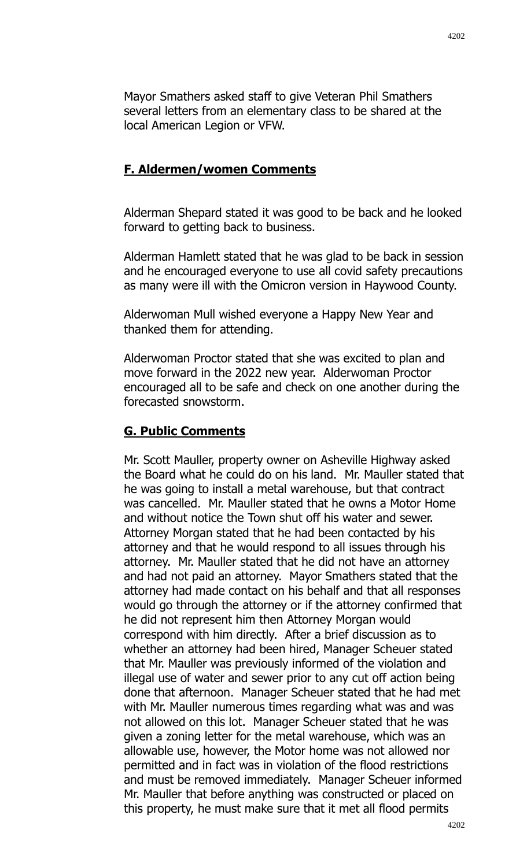Mayor Smathers asked staff to give Veteran Phil Smathers several letters from an elementary class to be shared at the local American Legion or VFW.

### **F. Aldermen/women Comments**

Alderman Shepard stated it was good to be back and he looked forward to getting back to business.

Alderman Hamlett stated that he was glad to be back in session and he encouraged everyone to use all covid safety precautions as many were ill with the Omicron version in Haywood County.

Alderwoman Mull wished everyone a Happy New Year and thanked them for attending.

Alderwoman Proctor stated that she was excited to plan and move forward in the 2022 new year. Alderwoman Proctor encouraged all to be safe and check on one another during the forecasted snowstorm.

#### **G. Public Comments**

Mr. Scott Mauller, property owner on Asheville Highway asked the Board what he could do on his land. Mr. Mauller stated that he was going to install a metal warehouse, but that contract was cancelled. Mr. Mauller stated that he owns a Motor Home and without notice the Town shut off his water and sewer. Attorney Morgan stated that he had been contacted by his attorney and that he would respond to all issues through his attorney. Mr. Mauller stated that he did not have an attorney and had not paid an attorney. Mayor Smathers stated that the attorney had made contact on his behalf and that all responses would go through the attorney or if the attorney confirmed that he did not represent him then Attorney Morgan would correspond with him directly. After a brief discussion as to whether an attorney had been hired, Manager Scheuer stated that Mr. Mauller was previously informed of the violation and illegal use of water and sewer prior to any cut off action being done that afternoon. Manager Scheuer stated that he had met with Mr. Mauller numerous times regarding what was and was not allowed on this lot. Manager Scheuer stated that he was given a zoning letter for the metal warehouse, which was an allowable use, however, the Motor home was not allowed nor permitted and in fact was in violation of the flood restrictions and must be removed immediately. Manager Scheuer informed Mr. Mauller that before anything was constructed or placed on this property, he must make sure that it met all flood permits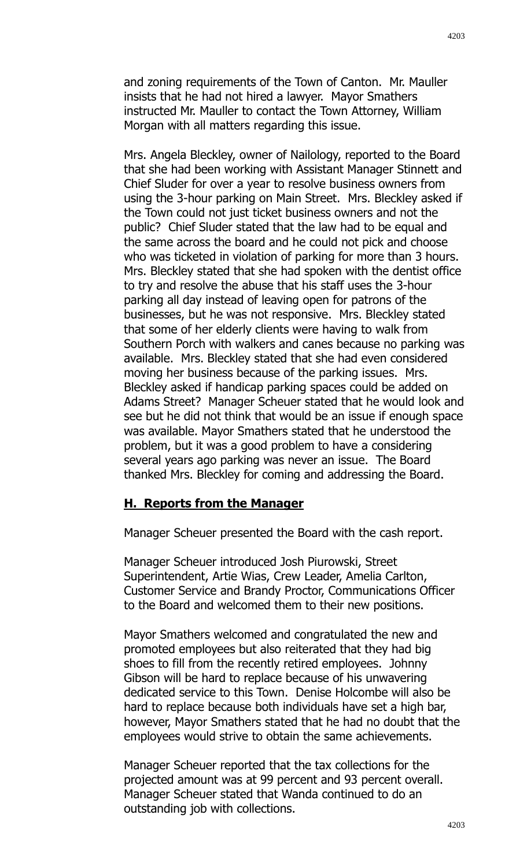Mrs. Angela Bleckley, owner of Nailology, reported to the Board that she had been working with Assistant Manager Stinnett and Chief Sluder for over a year to resolve business owners from using the 3-hour parking on Main Street. Mrs. Bleckley asked if the Town could not just ticket business owners and not the public? Chief Sluder stated that the law had to be equal and the same across the board and he could not pick and choose who was ticketed in violation of parking for more than 3 hours. Mrs. Bleckley stated that she had spoken with the dentist office to try and resolve the abuse that his staff uses the 3-hour parking all day instead of leaving open for patrons of the businesses, but he was not responsive. Mrs. Bleckley stated that some of her elderly clients were having to walk from Southern Porch with walkers and canes because no parking was available. Mrs. Bleckley stated that she had even considered moving her business because of the parking issues. Mrs. Bleckley asked if handicap parking spaces could be added on Adams Street? Manager Scheuer stated that he would look and see but he did not think that would be an issue if enough space was available. Mayor Smathers stated that he understood the problem, but it was a good problem to have a considering several years ago parking was never an issue. The Board thanked Mrs. Bleckley for coming and addressing the Board.

### **H. Reports from the Manager**

Manager Scheuer presented the Board with the cash report.

Manager Scheuer introduced Josh Piurowski, Street Superintendent, Artie Wias, Crew Leader, Amelia Carlton, Customer Service and Brandy Proctor, Communications Officer to the Board and welcomed them to their new positions.

Mayor Smathers welcomed and congratulated the new and promoted employees but also reiterated that they had big shoes to fill from the recently retired employees. Johnny Gibson will be hard to replace because of his unwavering dedicated service to this Town. Denise Holcombe will also be hard to replace because both individuals have set a high bar, however, Mayor Smathers stated that he had no doubt that the employees would strive to obtain the same achievements.

Manager Scheuer reported that the tax collections for the projected amount was at 99 percent and 93 percent overall. Manager Scheuer stated that Wanda continued to do an outstanding job with collections.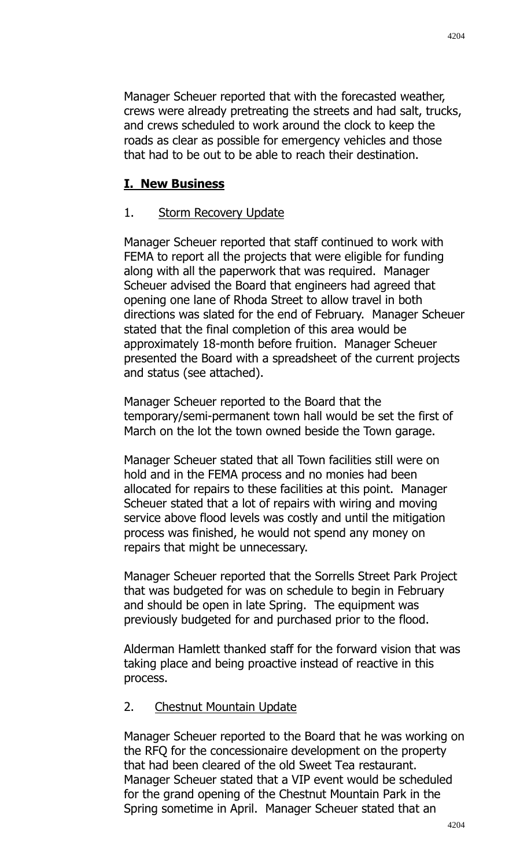Manager Scheuer reported that with the forecasted weather, crews were already pretreating the streets and had salt, trucks, and crews scheduled to work around the clock to keep the roads as clear as possible for emergency vehicles and those that had to be out to be able to reach their destination.

### **I. New Business**

### 1. Storm Recovery Update

Manager Scheuer reported that staff continued to work with FEMA to report all the projects that were eligible for funding along with all the paperwork that was required. Manager Scheuer advised the Board that engineers had agreed that opening one lane of Rhoda Street to allow travel in both directions was slated for the end of February. Manager Scheuer stated that the final completion of this area would be approximately 18-month before fruition. Manager Scheuer presented the Board with a spreadsheet of the current projects and status (see attached).

Manager Scheuer reported to the Board that the temporary/semi-permanent town hall would be set the first of March on the lot the town owned beside the Town garage.

Manager Scheuer stated that all Town facilities still were on hold and in the FEMA process and no monies had been allocated for repairs to these facilities at this point. Manager Scheuer stated that a lot of repairs with wiring and moving service above flood levels was costly and until the mitigation process was finished, he would not spend any money on repairs that might be unnecessary.

Manager Scheuer reported that the Sorrells Street Park Project that was budgeted for was on schedule to begin in February and should be open in late Spring. The equipment was previously budgeted for and purchased prior to the flood.

Alderman Hamlett thanked staff for the forward vision that was taking place and being proactive instead of reactive in this process.

#### 2. Chestnut Mountain Update

Manager Scheuer reported to the Board that he was working on the RFQ for the concessionaire development on the property that had been cleared of the old Sweet Tea restaurant. Manager Scheuer stated that a VIP event would be scheduled for the grand opening of the Chestnut Mountain Park in the Spring sometime in April. Manager Scheuer stated that an

4204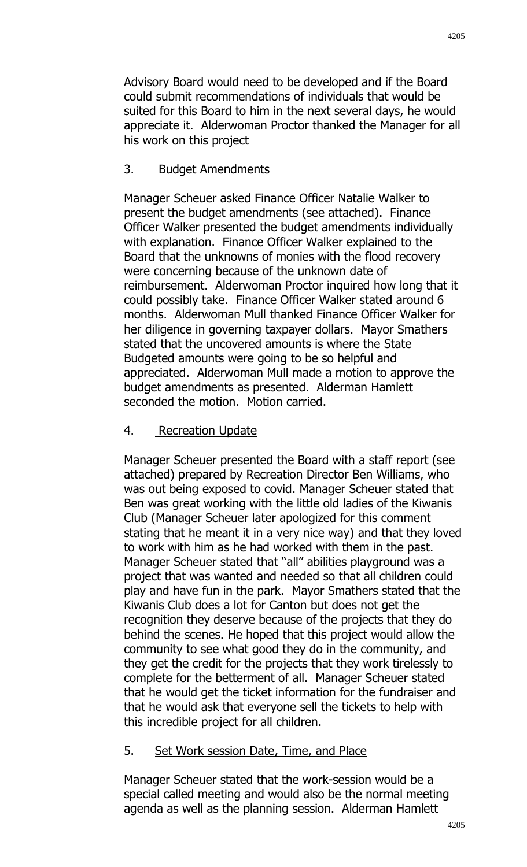Advisory Board would need to be developed and if the Board could submit recommendations of individuals that would be suited for this Board to him in the next several days, he would appreciate it. Alderwoman Proctor thanked the Manager for all his work on this project

### 3. Budget Amendments

Manager Scheuer asked Finance Officer Natalie Walker to present the budget amendments (see attached). Finance Officer Walker presented the budget amendments individually with explanation. Finance Officer Walker explained to the Board that the unknowns of monies with the flood recovery were concerning because of the unknown date of reimbursement. Alderwoman Proctor inquired how long that it could possibly take. Finance Officer Walker stated around 6 months. Alderwoman Mull thanked Finance Officer Walker for her diligence in governing taxpayer dollars. Mayor Smathers stated that the uncovered amounts is where the State Budgeted amounts were going to be so helpful and appreciated. Alderwoman Mull made a motion to approve the budget amendments as presented. Alderman Hamlett seconded the motion. Motion carried.

## 4. Recreation Update

Manager Scheuer presented the Board with a staff report (see attached) prepared by Recreation Director Ben Williams, who was out being exposed to covid. Manager Scheuer stated that Ben was great working with the little old ladies of the Kiwanis Club (Manager Scheuer later apologized for this comment stating that he meant it in a very nice way) and that they loved to work with him as he had worked with them in the past. Manager Scheuer stated that "all" abilities playground was a project that was wanted and needed so that all children could play and have fun in the park. Mayor Smathers stated that the Kiwanis Club does a lot for Canton but does not get the recognition they deserve because of the projects that they do behind the scenes. He hoped that this project would allow the community to see what good they do in the community, and they get the credit for the projects that they work tirelessly to complete for the betterment of all. Manager Scheuer stated that he would get the ticket information for the fundraiser and that he would ask that everyone sell the tickets to help with this incredible project for all children.

# 5. Set Work session Date, Time, and Place

Manager Scheuer stated that the work-session would be a special called meeting and would also be the normal meeting agenda as well as the planning session. Alderman Hamlett